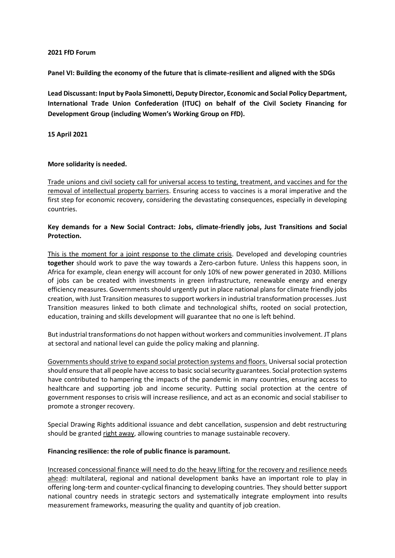#### **2021 FfD Forum**

**Panel VI: Building the economy of the future that is climate-resilient and aligned with the SDGs** 

**Lead Discussant: Input by Paola Simonetti, Deputy Director, Economic and Social Policy Department, International Trade Union Confederation (ITUC) on behalf of the Civil Society Financing for Development Group (including Women's Working Group on FfD).** 

**15 April 2021**

### **More solidarity is needed.**

Trade unions and civil society call for universal access to testing, treatment, and vaccines and for the removal of intellectual property barriers. Ensuring access to vaccines is a moral imperative and the first step for economic recovery, considering the devastating consequences, especially in developing countries.

## **Key demands for a New Social Contract: Jobs, climate-friendly jobs, Just Transitions and Social Protection.**

This is the moment for a joint response to the climate crisis. Developed and developing countries **together** should work to pave the way towards a Zero-carbon future. Unless this happens soon, in Africa for example, clean energy will account for only 10% of new power generated in 2030. Millions of jobs can be created with investments in green infrastructure, renewable energy and energy efficiency measures. Governments should urgently put in place national plans for climate friendly jobs creation, with Just Transition measures to support workers in industrial transformation processes. Just Transition measures linked to both climate and technological shifts, rooted on social protection, education, training and skills development will guarantee that no one is left behind.

But industrial transformations do not happen without workers and communities involvement. JT plans at sectoral and national level can guide the policy making and planning.

Governments should strive to expand social protection systems and floors. Universal social protection should ensure that all people have access to basic social security guarantees. Social protection systems have contributed to hampering the impacts of the pandemic in many countries, ensuring access to healthcare and supporting job and income security. Putting social protection at the centre of government responses to crisis will increase resilience, and act as an economic and social stabiliser to promote a stronger recovery.

Special Drawing Rights additional issuance and debt cancellation, suspension and debt restructuring should be granted right away, allowing countries to manage sustainable recovery.

### **Financing resilience: the role of public finance is paramount.**

Increased concessional finance will need to do the heavy lifting for the recovery and resilience needs ahead: multilateral, regional and national development banks have an important role to play in offering long-term and counter-cyclical financing to developing countries. They should better support national country needs in strategic sectors and systematically integrate employment into results measurement frameworks, measuring the quality and quantity of job creation.